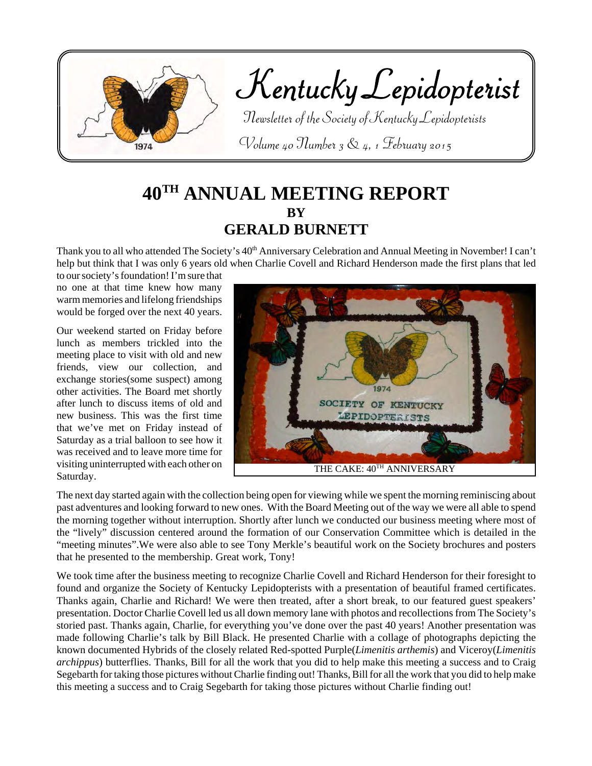

# **40TH ANNUAL MEETING REPORT BY GERALD BURNETT**

Thank you to all who attended The Society's 40<sup>th</sup> Anniversary Celebration and Annual Meeting in November! I can't help but think that I was only 6 years old when Charlie Covell and Richard Henderson made the first plans that led

to our society's foundation! I'm sure that no one at that time knew how many warm memories and lifelong friendships would be forged over the next 40 years.

Our weekend started on Friday before lunch as members trickled into the meeting place to visit with old and new friends, view our collection, and exchange stories(some suspect) among other activities. The Board met shortly after lunch to discuss items of old and new business. This was the first time that we've met on Friday instead of Saturday as a trial balloon to see how it was received and to leave more time for visiting uninterrupted with each other on Saturday.



The next day started again with the collection being open for viewing while we spent the morning reminiscing about past adventures and looking forward to new ones. With the Board Meeting out of the way we were all able to spend the morning together without interruption. Shortly after lunch we conducted our business meeting where most of the "lively" discussion centered around the formation of our Conservation Committee which is detailed in the "meeting minutes".We were also able to see Tony Merkle's beautiful work on the Society brochures and posters that he presented to the membership. Great work, Tony!

We took time after the business meeting to recognize Charlie Covell and Richard Henderson for their foresight to found and organize the Society of Kentucky Lepidopterists with a presentation of beautiful framed certificates. Thanks again, Charlie and Richard! We were then treated, after a short break, to our featured guest speakers' presentation. Doctor Charlie Covell led us all down memory lane with photos and recollections from The Society's storied past. Thanks again, Charlie, for everything you've done over the past 40 years! Another presentation was made following Charlie's talk by Bill Black. He presented Charlie with a collage of photographs depicting the known documented Hybrids of the closely related Red-spotted Purple(*Limenitis arthemis*) and Viceroy(*Limenitis archippus*) butterflies. Thanks, Bill for all the work that you did to help make this meeting a success and to Craig Segebarth for taking those pictures without Charlie finding out! Thanks, Bill for all the work that you did to help make this meeting a success and to Craig Segebarth for taking those pictures without Charlie finding out!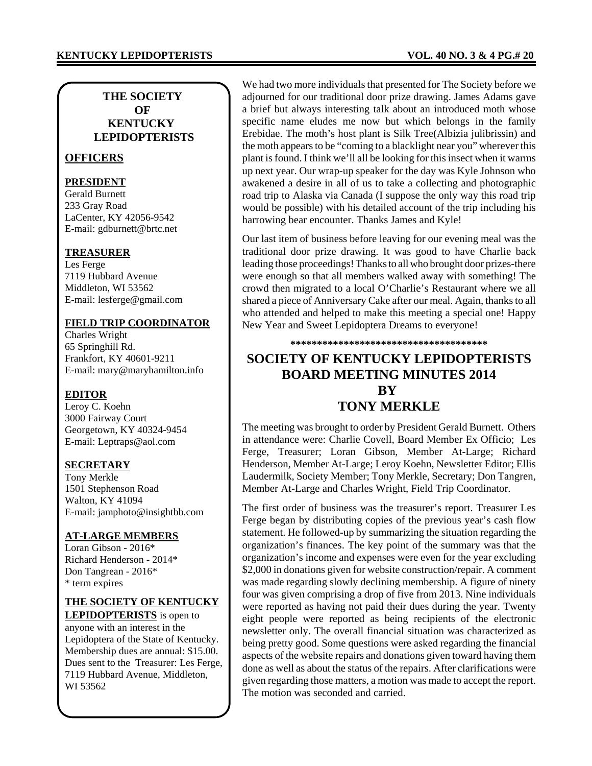## **THE SOCIETY OF KENTUCKY LEPIDOPTERISTS**

## **OFFICERS**

## **PRESIDENT**

Gerald Burnett 233 Gray Road LaCenter, KY 42056-9542 E-mail: gdburnett@brtc.net

### **TREASURER**

Les Ferge 7119 Hubbard Avenue Middleton, WI 53562 E-mail: lesferge@gmail.com

## **FIELD TRIP COORDINATOR**

Charles Wright 65 Springhill Rd. Frankfort, KY 40601-9211 E-mail: mary@maryhamilton.info

### **EDITOR**

Leroy C. Koehn 3000 Fairway Court Georgetown, KY 40324-9454 E-mail: Leptraps@aol.com

## **SECRETARY**

Tony Merkle 1501 Stephenson Road Walton, KY 41094 E-mail: jamphoto@insightbb.com

### **AT-LARGE MEMBERS**

Loran Gibson - 2016\* Richard Henderson - 2014\* Don Tangrean - 2016\* \* term expires

# **THE SOCIETY OF KENTUCKY**

**LEPIDOPTERISTS** is open to anyone with an interest in the Lepidoptera of the State of Kentucky. Membership dues are annual: \$15.00. Dues sent to the Treasurer: Les Ferge, 7119 Hubbard Avenue, Middleton, WI 53562

We had two more individuals that presented for The Society before we adjourned for our traditional door prize drawing. James Adams gave a brief but always interesting talk about an introduced moth whose specific name eludes me now but which belongs in the family Erebidae. The moth's host plant is Silk Tree(Albizia julibrissin) and the moth appears to be "coming to a blacklight near you" wherever this plant is found. I think we'll all be looking for this insect when it warms up next year. Our wrap-up speaker for the day was Kyle Johnson who awakened a desire in all of us to take a collecting and photographic road trip to Alaska via Canada (I suppose the only way this road trip would be possible) with his detailed account of the trip including his harrowing bear encounter. Thanks James and Kyle!

Our last item of business before leaving for our evening meal was the traditional door prize drawing. It was good to have Charlie back leading those proceedings! Thanks to all who brought door prizes-there were enough so that all members walked away with something! The crowd then migrated to a local O'Charlie's Restaurant where we all shared a piece of Anniversary Cake after our meal. Again, thanks to all who attended and helped to make this meeting a special one! Happy New Year and Sweet Lepidoptera Dreams to everyone!

**\*\*\*\*\*\*\*\*\*\*\*\*\*\*\*\*\*\*\*\*\*\*\*\*\*\*\*\*\*\*\*\*\*\*\*\*\***

## **SOCIETY OF KENTUCKY LEPIDOPTERISTS BOARD MEETING MINUTES 2014 BY TONY MERKLE**

The meeting was brought to order by President Gerald Burnett. Others in attendance were: Charlie Covell, Board Member Ex Officio; Les Ferge, Treasurer; Loran Gibson, Member At-Large; Richard Henderson, Member At-Large; Leroy Koehn, Newsletter Editor; Ellis Laudermilk, Society Member; Tony Merkle, Secretary; Don Tangren, Member At-Large and Charles Wright, Field Trip Coordinator.

The first order of business was the treasurer's report. Treasurer Les Ferge began by distributing copies of the previous year's cash flow statement. He followed-up by summarizing the situation regarding the organization's finances. The key point of the summary was that the organization's income and expenses were even for the year excluding \$2,000 in donations given for website construction/repair. A comment was made regarding slowly declining membership. A figure of ninety four was given comprising a drop of five from 2013. Nine individuals were reported as having not paid their dues during the year. Twenty eight people were reported as being recipients of the electronic newsletter only. The overall financial situation was characterized as being pretty good. Some questions were asked regarding the financial aspects of the website repairs and donations given toward having them done as well as about the status of the repairs. After clarifications were given regarding those matters, a motion was made to accept the report. The motion was seconded and carried.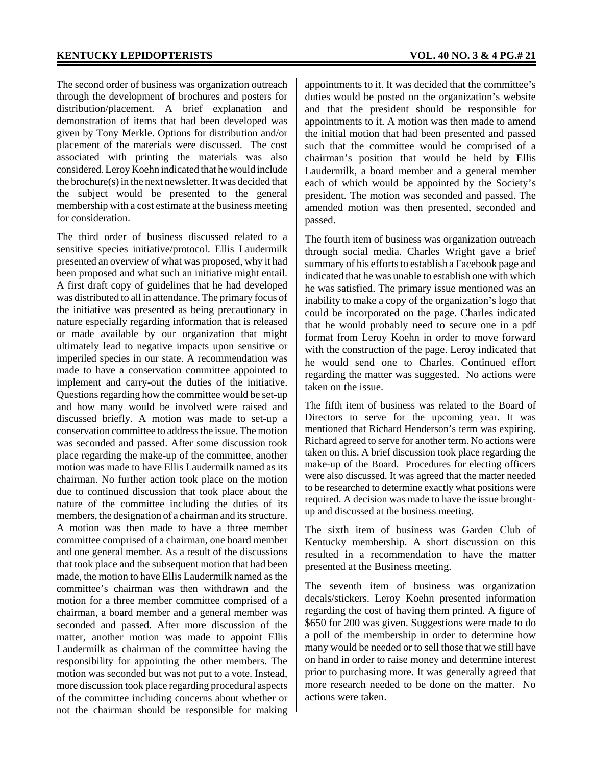The second order of business was organization outreach through the development of brochures and posters for distribution/placement. A brief explanation and demonstration of items that had been developed was given by Tony Merkle. Options for distribution and/or placement of the materials were discussed. The cost associated with printing the materials was also considered. Leroy Koehn indicated that he would include the brochure(s) in the next newsletter. It was decided that the subject would be presented to the general membership with a cost estimate at the business meeting for consideration.

The third order of business discussed related to a sensitive species initiative/protocol. Ellis Laudermilk presented an overview of what was proposed, why it had been proposed and what such an initiative might entail. A first draft copy of guidelines that he had developed was distributed to all in attendance. The primary focus of the initiative was presented as being precautionary in nature especially regarding information that is released or made available by our organization that might ultimately lead to negative impacts upon sensitive or imperiled species in our state. A recommendation was made to have a conservation committee appointed to implement and carry-out the duties of the initiative. Questions regarding how the committee would be set-up and how many would be involved were raised and discussed briefly. A motion was made to set-up a conservation committee to address the issue. The motion was seconded and passed. After some discussion took place regarding the make-up of the committee, another motion was made to have Ellis Laudermilk named as its chairman. No further action took place on the motion due to continued discussion that took place about the nature of the committee including the duties of its members, the designation of a chairman and its structure. A motion was then made to have a three member committee comprised of a chairman, one board member and one general member. As a result of the discussions that took place and the subsequent motion that had been made, the motion to have Ellis Laudermilk named as the committee's chairman was then withdrawn and the motion for a three member committee comprised of a chairman, a board member and a general member was seconded and passed. After more discussion of the matter, another motion was made to appoint Ellis Laudermilk as chairman of the committee having the responsibility for appointing the other members. The motion was seconded but was not put to a vote. Instead, more discussion took place regarding procedural aspects of the committee including concerns about whether or not the chairman should be responsible for making

appointments to it. It was decided that the committee's duties would be posted on the organization's website and that the president should be responsible for appointments to it. A motion was then made to amend the initial motion that had been presented and passed such that the committee would be comprised of a chairman's position that would be held by Ellis Laudermilk, a board member and a general member each of which would be appointed by the Society's president. The motion was seconded and passed. The amended motion was then presented, seconded and passed.

The fourth item of business was organization outreach through social media. Charles Wright gave a brief summary of his efforts to establish a Facebook page and indicated that he was unable to establish one with which he was satisfied. The primary issue mentioned was an inability to make a copy of the organization's logo that could be incorporated on the page. Charles indicated that he would probably need to secure one in a pdf format from Leroy Koehn in order to move forward with the construction of the page. Leroy indicated that he would send one to Charles. Continued effort regarding the matter was suggested. No actions were taken on the issue.

The fifth item of business was related to the Board of Directors to serve for the upcoming year. It was mentioned that Richard Henderson's term was expiring. Richard agreed to serve for another term. No actions were taken on this. A brief discussion took place regarding the make-up of the Board. Procedures for electing officers were also discussed. It was agreed that the matter needed to be researched to determine exactly what positions were required. A decision was made to have the issue broughtup and discussed at the business meeting.

The sixth item of business was Garden Club of Kentucky membership. A short discussion on this resulted in a recommendation to have the matter presented at the Business meeting.

The seventh item of business was organization decals/stickers. Leroy Koehn presented information regarding the cost of having them printed. A figure of \$650 for 200 was given. Suggestions were made to do a poll of the membership in order to determine how many would be needed or to sell those that we still have on hand in order to raise money and determine interest prior to purchasing more. It was generally agreed that more research needed to be done on the matter. No actions were taken.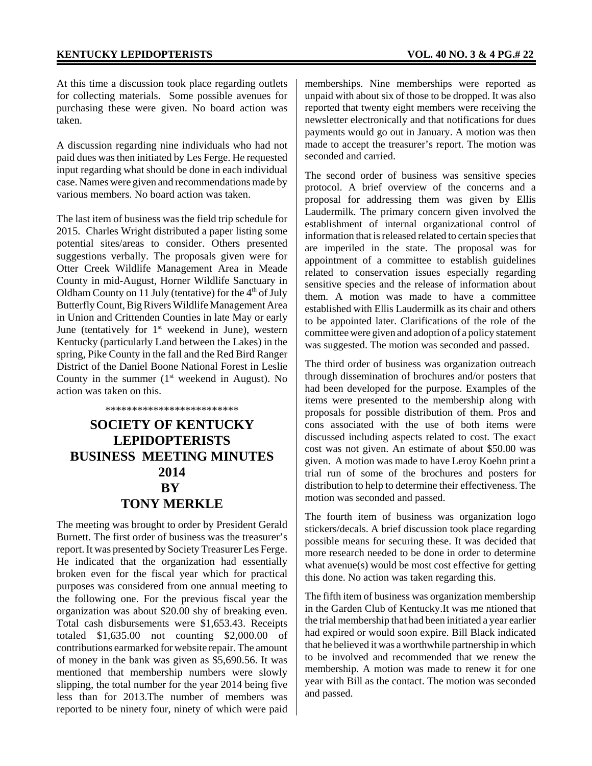At this time a discussion took place regarding outlets for collecting materials. Some possible avenues for purchasing these were given. No board action was taken.

A discussion regarding nine individuals who had not paid dues was then initiated by Les Ferge. He requested input regarding what should be done in each individual case. Names were given and recommendations made by various members. No board action was taken.

The last item of business was the field trip schedule for 2015. Charles Wright distributed a paper listing some potential sites/areas to consider. Others presented suggestions verbally. The proposals given were for Otter Creek Wildlife Management Area in Meade County in mid-August, Horner Wildlife Sanctuary in Oldham County on 11 July (tentative) for the  $4<sup>th</sup>$  of July Butterfly Count, Big Rivers Wildlife Management Area in Union and Crittenden Counties in late May or early June (tentatively for  $1<sup>st</sup>$  weekend in June), western Kentucky (particularly Land between the Lakes) in the spring, Pike County in the fall and the Red Bird Ranger District of the Daniel Boone National Forest in Leslie County in the summer  $(1<sup>st</sup>$  weekend in August). No action was taken on this.

# \*\*\*\*\*\*\*\*\*\*\*\*\*\*\*\*\*\*\*\*\*\*\*\*\* **SOCIETY OF KENTUCKY LEPIDOPTERISTS BUSINESS MEETING MINUTES 2014 BY TONY MERKLE**

The meeting was brought to order by President Gerald Burnett. The first order of business was the treasurer's report. It was presented by Society Treasurer Les Ferge. He indicated that the organization had essentially broken even for the fiscal year which for practical purposes was considered from one annual meeting to the following one. For the previous fiscal year the organization was about \$20.00 shy of breaking even. Total cash disbursements were \$1,653.43. Receipts totaled \$1,635.00 not counting \$2,000.00 of contributions earmarked for website repair. The amount of money in the bank was given as \$5,690.56. It was mentioned that membership numbers were slowly slipping, the total number for the year 2014 being five less than for 2013.The number of members was reported to be ninety four, ninety of which were paid

memberships. Nine memberships were reported as unpaid with about six of those to be dropped. It was also reported that twenty eight members were receiving the newsletter electronically and that notifications for dues payments would go out in January. A motion was then made to accept the treasurer's report. The motion was seconded and carried.

The second order of business was sensitive species protocol. A brief overview of the concerns and a proposal for addressing them was given by Ellis Laudermilk. The primary concern given involved the establishment of internal organizational control of information that is released related to certain species that are imperiled in the state. The proposal was for appointment of a committee to establish guidelines related to conservation issues especially regarding sensitive species and the release of information about them. A motion was made to have a committee established with Ellis Laudermilk as its chair and others to be appointed later. Clarifications of the role of the committee were given and adoption of a policy statement was suggested. The motion was seconded and passed.

The third order of business was organization outreach through dissemination of brochures and/or posters that had been developed for the purpose. Examples of the items were presented to the membership along with proposals for possible distribution of them. Pros and cons associated with the use of both items were discussed including aspects related to cost. The exact cost was not given. An estimate of about \$50.00 was given. A motion was made to have Leroy Koehn print a trial run of some of the brochures and posters for distribution to help to determine their effectiveness. The motion was seconded and passed.

The fourth item of business was organization logo stickers/decals. A brief discussion took place regarding possible means for securing these. It was decided that more research needed to be done in order to determine what avenue(s) would be most cost effective for getting this done. No action was taken regarding this.

The fifth item of business was organization membership in the Garden Club of Kentucky.It was me ntioned that the trial membership that had been initiated a year earlier had expired or would soon expire. Bill Black indicated that he believed it was a worthwhile partnership in which to be involved and recommended that we renew the membership. A motion was made to renew it for one year with Bill as the contact. The motion was seconded and passed.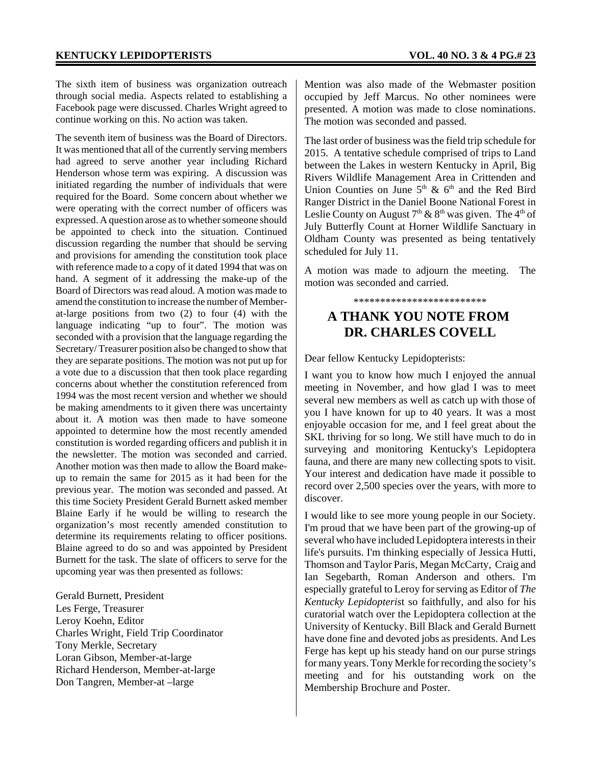The sixth item of business was organization outreach through social media. Aspects related to establishing a Facebook page were discussed. Charles Wright agreed to continue working on this. No action was taken.

The seventh item of business was the Board of Directors. It was mentioned that all of the currently serving members had agreed to serve another year including Richard Henderson whose term was expiring. A discussion was initiated regarding the number of individuals that were required for the Board. Some concern about whether we were operating with the correct number of officers was expressed. A question arose as to whether someone should be appointed to check into the situation. Continued discussion regarding the number that should be serving and provisions for amending the constitution took place with reference made to a copy of it dated 1994 that was on hand. A segment of it addressing the make-up of the Board of Directors was read aloud. A motion was made to amend the constitution to increase the number of Memberat-large positions from two (2) to four (4) with the language indicating "up to four". The motion was seconded with a provision that the language regarding the Secretary/ Treasurer position also be changed to show that they are separate positions. The motion was not put up for a vote due to a discussion that then took place regarding concerns about whether the constitution referenced from 1994 was the most recent version and whether we should be making amendments to it given there was uncertainty about it. A motion was then made to have someone appointed to determine how the most recently amended constitution is worded regarding officers and publish it in the newsletter. The motion was seconded and carried. Another motion was then made to allow the Board makeup to remain the same for 2015 as it had been for the previous year. The motion was seconded and passed. At this time Society President Gerald Burnett asked member Blaine Early if he would be willing to research the organization's most recently amended constitution to determine its requirements relating to officer positions. Blaine agreed to do so and was appointed by President Burnett for the task. The slate of officers to serve for the upcoming year was then presented as follows:

Gerald Burnett, President Les Ferge, Treasurer Leroy Koehn, Editor Charles Wright, Field Trip Coordinator Tony Merkle, Secretary Loran Gibson, Member-at-large Richard Henderson, Member-at-large Don Tangren, Member-at –large

Mention was also made of the Webmaster position occupied by Jeff Marcus. No other nominees were presented. A motion was made to close nominations. The motion was seconded and passed.

The last order of business was the field trip schedule for 2015. A tentative schedule comprised of trips to Land between the Lakes in western Kentucky in April, Big Rivers Wildlife Management Area in Crittenden and Union Counties on June  $5<sup>th</sup>$  &  $6<sup>th</sup>$  and the Red Bird Ranger District in the Daniel Boone National Forest in Leslie County on August  $7<sup>th</sup>$  &  $8<sup>th</sup>$  was given. The 4<sup>th</sup> of July Butterfly Count at Horner Wildlife Sanctuary in Oldham County was presented as being tentatively scheduled for July 11.

A motion was made to adjourn the meeting. The motion was seconded and carried.

\*\*\*\*\*\*\*\*\*\*\*\*\*\*\*\*\*\*\*\*\*\*\*\*\*

# **A THANK YOU NOTE FROM DR. CHARLES COVELL**

Dear fellow Kentucky Lepidopterists:

I want you to know how much I enjoyed the annual meeting in November, and how glad I was to meet several new members as well as catch up with those of you I have known for up to 40 years. It was a most enjoyable occasion for me, and I feel great about the SKL thriving for so long. We still have much to do in surveying and monitoring Kentucky's Lepidoptera fauna, and there are many new collecting spots to visit. Your interest and dedication have made it possible to record over 2,500 species over the years, with more to discover.

I would like to see more young people in our Society. I'm proud that we have been part of the growing-up of several who have included Lepidoptera interests in their life's pursuits. I'm thinking especially of Jessica Hutti, Thomson and Taylor Paris, Megan McCarty, Craig and Ian Segebarth, Roman Anderson and others. I'm especially grateful to Leroy for serving as Editor of *The Kentucky Lepidopteris*t so faithfully, and also for his curatorial watch over the Lepidoptera collection at the University of Kentucky. Bill Black and Gerald Burnett have done fine and devoted jobs as presidents. And Les Ferge has kept up his steady hand on our purse strings for many years. Tony Merkle for recording the society's meeting and for his outstanding work on the Membership Brochure and Poster.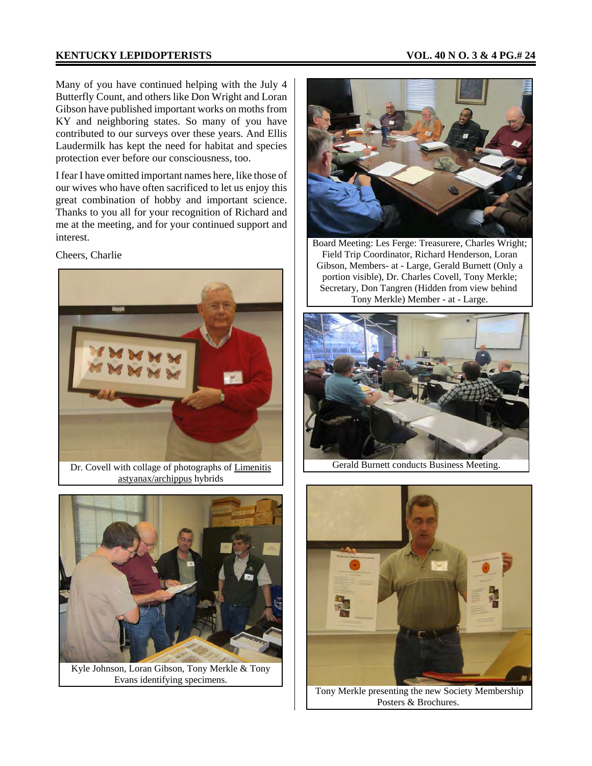### **KENTUCKY LEPIDOPTERISTS VOL. 40 N O. 3 & 4 PG.# 24**

Many of you have continued helping with the July 4 Butterfly Count, and others like Don Wright and Loran Gibson have published important works on moths from KY and neighboring states. So many of you have contributed to our surveys over these years. And Ellis Laudermilk has kept the need for habitat and species protection ever before our consciousness, too.

I fear I have omitted important names here, like those of our wives who have often sacrificed to let us enjoy this great combination of hobby and important science. Thanks to you all for your recognition of Richard and me at the meeting, and for your continued support and interest.

Cheers, Charlie



astyanax/archippus hybrids



Kyle Johnson, Loran Gibson, Tony Merkle & Tony Evans identifying specimens.



Board Meeting: Les Ferge: Treasurere, Charles Wright; Field Trip Coordinator, Richard Henderson, Loran Gibson, Members- at - Large, Gerald Burnett (Only a portion visible), Dr. Charles Covell, Tony Merkle; Secretary, Don Tangren (Hidden from view behind Tony Merkle) Member - at - Large.



Gerald Burnett conducts Business Meeting.



Tony Merkle presenting the new Society Membership Posters & Brochures.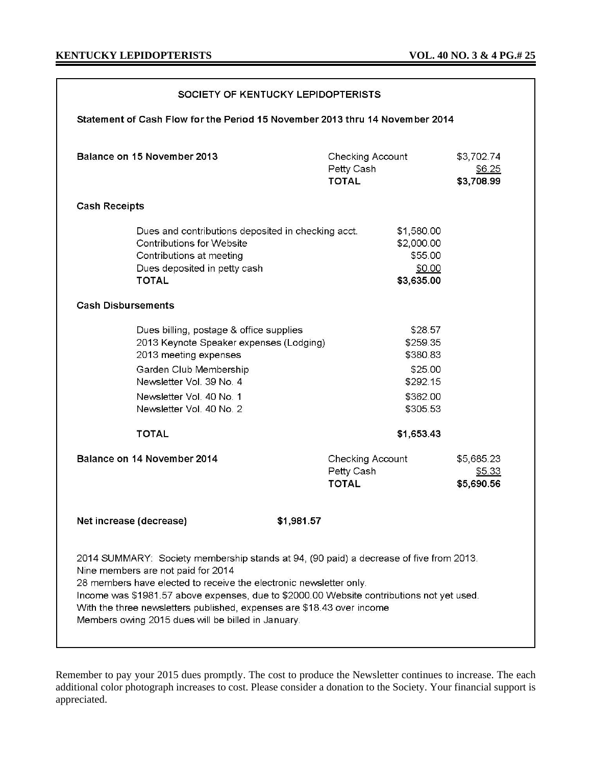| SOCIETY OF KENTUCKY LEPIDOPTERISTS                                                                                                                                                                                                                                                                                                                                                                                              |                                                                                                                                                                                                                                           |                                                                                              |                                    |
|---------------------------------------------------------------------------------------------------------------------------------------------------------------------------------------------------------------------------------------------------------------------------------------------------------------------------------------------------------------------------------------------------------------------------------|-------------------------------------------------------------------------------------------------------------------------------------------------------------------------------------------------------------------------------------------|----------------------------------------------------------------------------------------------|------------------------------------|
| Statement of Cash Flow for the Period 15 November 2013 thru 14 November 2014                                                                                                                                                                                                                                                                                                                                                    |                                                                                                                                                                                                                                           |                                                                                              |                                    |
| Balance on 15 November 2013                                                                                                                                                                                                                                                                                                                                                                                                     |                                                                                                                                                                                                                                           | Checking Account<br>Petty Cash<br><b>TOTAL</b>                                               | \$3,702.74<br>\$6.25<br>\$3,708.99 |
| <b>Cash Receipts</b>                                                                                                                                                                                                                                                                                                                                                                                                            |                                                                                                                                                                                                                                           |                                                                                              |                                    |
|                                                                                                                                                                                                                                                                                                                                                                                                                                 | Dues and contributions deposited in checking acct.<br>Contributions for Website<br>Contributions at meeting<br>Dues deposited in petty cash<br><b>TOTAL</b>                                                                               | \$1,580.00<br>\$2,000.00<br>\$55.00<br>\$0.00<br>\$3,635.00                                  |                                    |
| <b>Cash Disbursements</b>                                                                                                                                                                                                                                                                                                                                                                                                       |                                                                                                                                                                                                                                           |                                                                                              |                                    |
|                                                                                                                                                                                                                                                                                                                                                                                                                                 | Dues billing, postage & office supplies<br>2013 Keynote Speaker expenses (Lodging)<br>2013 meeting expenses<br>Garden Club Membership<br>Newsletter Vol. 39 No. 4<br>Newsletter Vol. 40 No. 1<br>Newsletter Vol. 40 No. 2<br><b>TOTAL</b> | \$28.57<br>\$259.35<br>\$380.83<br>\$25.00<br>\$292.15<br>\$362.00<br>\$305.53<br>\$1,653.43 |                                    |
|                                                                                                                                                                                                                                                                                                                                                                                                                                 | Balance on 14 November 2014                                                                                                                                                                                                               | Checking Account<br>Petty Cash<br><b>TOTAL</b>                                               | \$5,685.23<br>\$5.33<br>\$5,690.56 |
| \$1,981.57<br>Net increase (decrease)                                                                                                                                                                                                                                                                                                                                                                                           |                                                                                                                                                                                                                                           |                                                                                              |                                    |
| 2014 SUMMARY: Society membership stands at 94, (90 paid) a decrease of five from 2013.<br>Nine members are not paid for 2014<br>28 members have elected to receive the electronic newsletter only.<br>Income was \$1981.57 above expenses, due to \$2000.00 Website contributions not yet used.<br>With the three newsletters published, expenses are \$18.43 over income<br>Members owing 2015 dues will be billed in January. |                                                                                                                                                                                                                                           |                                                                                              |                                    |

Remember to pay your 2015 dues promptly. The cost to produce the Newsletter continues to increase. The each additional color photograph increases to cost. Please consider a donation to the Society. Your financial support is appreciated.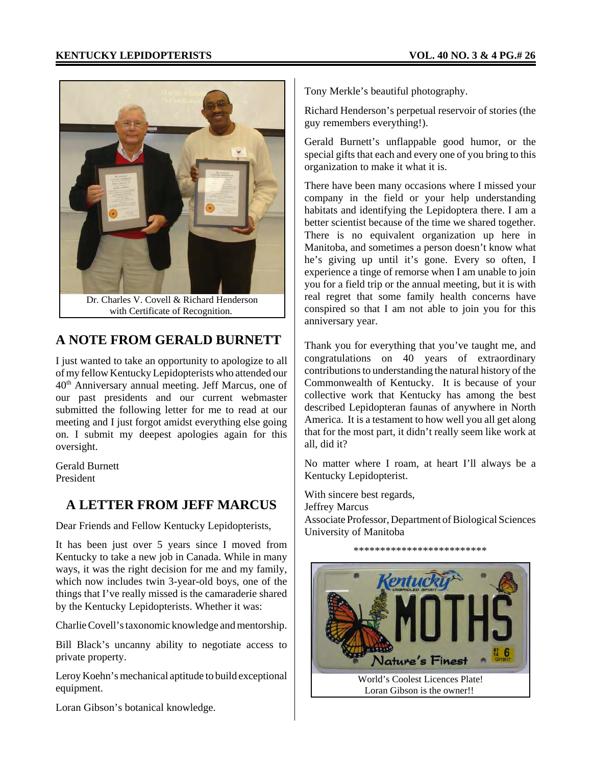

# **A NOTE FROM GERALD BURNETT**

I just wanted to take an opportunity to apologize to all of my fellow Kentucky Lepidopterists who attended our 40th Anniversary annual meeting. Jeff Marcus, one of our past presidents and our current webmaster submitted the following letter for me to read at our meeting and I just forgot amidst everything else going on. I submit my deepest apologies again for this oversight.

Gerald Burnett President

## **A LETTER FROM JEFF MARCUS**

Dear Friends and Fellow Kentucky Lepidopterists,

It has been just over 5 years since I moved from Kentucky to take a new job in Canada. While in many ways, it was the right decision for me and my family, which now includes twin 3-year-old boys, one of the things that I've really missed is the camaraderie shared by the Kentucky Lepidopterists. Whether it was:

Charlie Covell's taxonomic knowledge and mentorship.

Bill Black's uncanny ability to negotiate access to private property.

Leroy Koehn's mechanical aptitude to build exceptional equipment.

Loran Gibson's botanical knowledge.

Tony Merkle's beautiful photography.

Richard Henderson's perpetual reservoir of stories (the guy remembers everything!).

Gerald Burnett's unflappable good humor, or the special gifts that each and every one of you bring to this organization to make it what it is.

There have been many occasions where I missed your company in the field or your help understanding habitats and identifying the Lepidoptera there. I am a better scientist because of the time we shared together. There is no equivalent organization up here in Manitoba, and sometimes a person doesn't know what he's giving up until it's gone. Every so often, I experience a tinge of remorse when I am unable to join you for a field trip or the annual meeting, but it is with real regret that some family health concerns have conspired so that I am not able to join you for this anniversary year.

Thank you for everything that you've taught me, and congratulations on 40 years of extraordinary contributions to understanding the natural history of the Commonwealth of Kentucky. It is because of your collective work that Kentucky has among the best described Lepidopteran faunas of anywhere in North America. It is a testament to how well you all get along that for the most part, it didn't really seem like work at all, did it?

No matter where I roam, at heart I'll always be a Kentucky Lepidopterist.

With sincere best regards, Jeffrey Marcus Associate Professor, Department of Biological Sciences University of Manitoba

\*\*\*\*\*\*\*\*\*\*\*\*\*\*\*\*\*\*\*\*\*\*\*\*\*

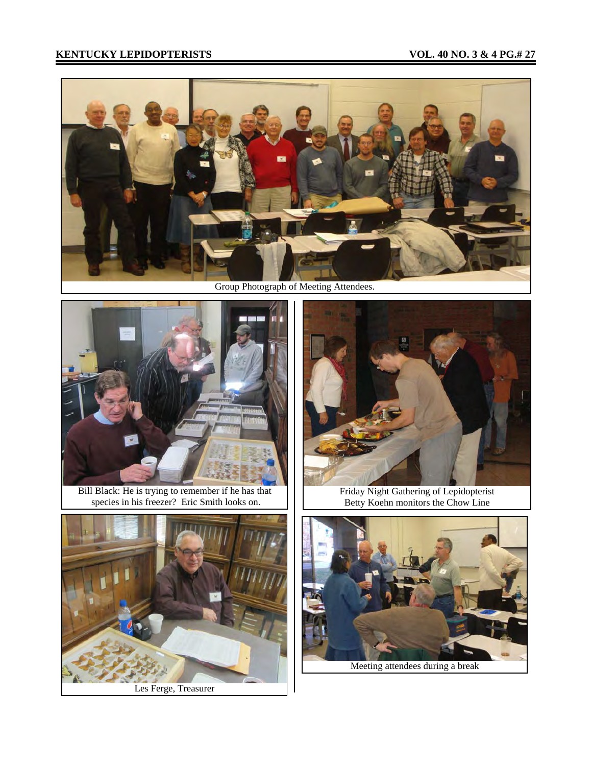## **KENTUCKY LEPIDOPTERISTS** VOL. 40 NO. 3 & 4 PG.# 27





Bill Black: He is trying to remember if he has that species in his freezer? Eric Smith looks on.



Les Ferge, Treasurer



Friday Night Gathering of Lepidopterist Betty Koehn monitors the Chow Line



Meeting attendees during a break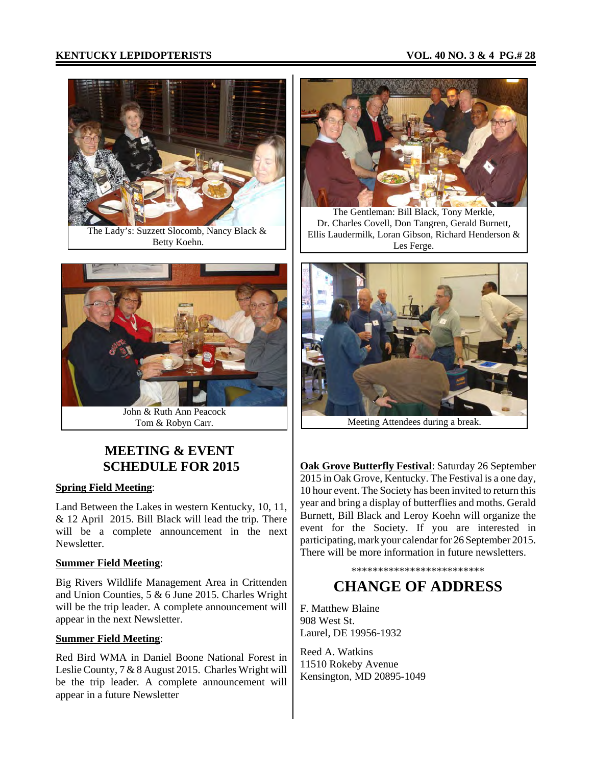## **KENTUCKY LEPIDOPTERISTS VOL. 40 NO. 3 & 4 PG.# 28**



The Lady's: Suzzett Slocomb, Nancy Black & Betty Koehn.



John & Ruth Ann Peacock Tom & Robyn Carr.

# **MEETING & EVENT SCHEDULE FOR 2015**

#### **Spring Field Meeting**:

Land Between the Lakes in western Kentucky, 10, 11, & 12 April 2015. Bill Black will lead the trip. There will be a complete announcement in the next Newsletter.

#### **Summer Field Meeting**:

Big Rivers Wildlife Management Area in Crittenden and Union Counties, 5 & 6 June 2015. Charles Wright will be the trip leader. A complete announcement will appear in the next Newsletter.

## **Summer Field Meeting**:

Red Bird WMA in Daniel Boone National Forest in Leslie County, 7 & 8 August 2015. Charles Wright will be the trip leader. A complete announcement will appear in a future Newsletter



The Gentleman: Bill Black, Tony Merkle, Dr. Charles Covell, Don Tangren, Gerald Burnett, Ellis Laudermilk, Loran Gibson, Richard Henderson & Les Ferge.



Meeting Attendees during a break.

**Oak Grove Butterfly Festival**: Saturday 26 September 2015 in Oak Grove, Kentucky. The Festival is a one day, 10 hour event. The Society has been invited to return this year and bring a display of butterflies and moths. Gerald Burnett, Bill Black and Leroy Koehn will organize the event for the Society. If you are interested in participating, mark your calendar for 26 September 2015. There will be more information in future newsletters.

# \*\*\*\*\*\*\*\*\*\*\*\*\*\*\*\*\*\*\*\*\*\*\*\*\* **CHANGE OF ADDRESS**

F. Matthew Blaine 908 West St. Laurel, DE 19956-1932

Reed A. Watkins 11510 Rokeby Avenue Kensington, MD 20895-1049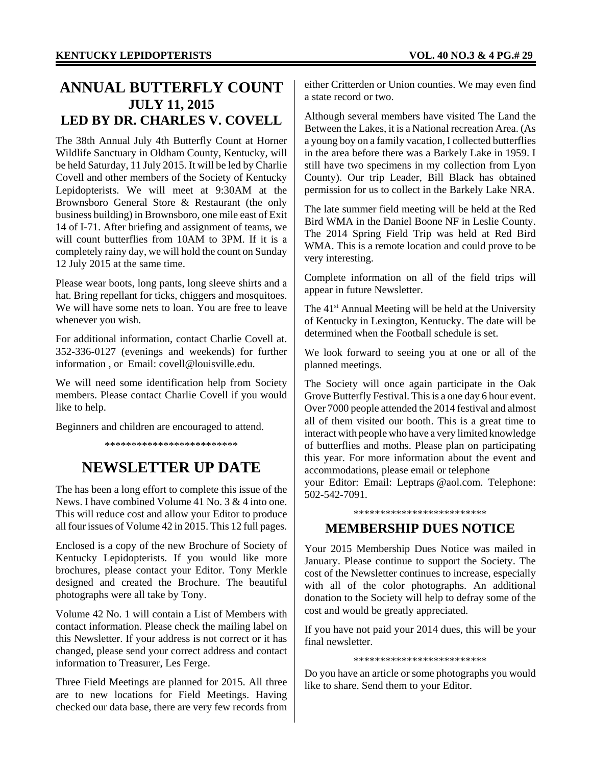# **ANNUAL BUTTERFLY COUNT JULY 11, 2015 LED BY DR. CHARLES V. COVELL**

The 38th Annual July 4th Butterfly Count at Horner Wildlife Sanctuary in Oldham County, Kentucky, will be held Saturday, 11 July 2015. It will be led by Charlie Covell and other members of the Society of Kentucky Lepidopterists. We will meet at 9:30AM at the Brownsboro General Store & Restaurant (the only business building) in Brownsboro, one mile east of Exit 14 of I-71. After briefing and assignment of teams, we will count butterflies from 10AM to 3PM. If it is a completely rainy day, we will hold the count on Sunday 12 July 2015 at the same time.

Please wear boots, long pants, long sleeve shirts and a hat. Bring repellant for ticks, chiggers and mosquitoes. We will have some nets to loan. You are free to leave whenever you wish.

For additional information, contact Charlie Covell at. 352-336-0127 (evenings and weekends) for further information , or Email: covell@louisville.edu.

We will need some identification help from Society members. Please contact Charlie Covell if you would like to help.

Beginners and children are encouraged to attend.

\*\*\*\*\*\*\*\*\*\*\*\*\*\*\*\*\*\*\*\*\*\*\*\*\*

# **NEWSLETTER UP DATE**

The has been a long effort to complete this issue of the News. I have combined Volume 41 No. 3 & 4 into one. This will reduce cost and allow your Editor to produce all four issues of Volume 42 in 2015. This 12 full pages.

Enclosed is a copy of the new Brochure of Society of Kentucky Lepidopterists. If you would like more brochures, please contact your Editor. Tony Merkle designed and created the Brochure. The beautiful photographs were all take by Tony.

Volume 42 No. 1 will contain a List of Members with contact information. Please check the mailing label on this Newsletter. If your address is not correct or it has changed, please send your correct address and contact information to Treasurer, Les Ferge.

Three Field Meetings are planned for 2015. All three are to new locations for Field Meetings. Having checked our data base, there are very few records from either Critterden or Union counties. We may even find a state record or two.

Although several members have visited The Land the Between the Lakes, it is a National recreation Area. (As a young boy on a family vacation, I collected butterflies in the area before there was a Barkely Lake in 1959. I still have two specimens in my collection from Lyon County). Our trip Leader, Bill Black has obtained permission for us to collect in the Barkely Lake NRA.

The late summer field meeting will be held at the Red Bird WMA in the Daniel Boone NF in Leslie County. The 2014 Spring Field Trip was held at Red Bird WMA. This is a remote location and could prove to be very interesting.

Complete information on all of the field trips will appear in future Newsletter.

The  $41<sup>st</sup>$  Annual Meeting will be held at the University of Kentucky in Lexington, Kentucky. The date will be determined when the Football schedule is set.

We look forward to seeing you at one or all of the planned meetings.

The Society will once again participate in the Oak Grove Butterfly Festival. This is a one day 6 hour event. Over 7000 people attended the 2014 festival and almost all of them visited our booth. This is a great time to interact with people who have a very limited knowledge of butterflies and moths. Please plan on participating this year. For more information about the event and accommodations, please email or telephone

your Editor: Email: Leptraps @aol.com. Telephone: 502-542-7091.

\*\*\*\*\*\*\*\*\*\*\*\*\*\*\*\*\*\*\*\*\*\*\*\*\*

## **MEMBERSHIP DUES NOTICE**

Your 2015 Membership Dues Notice was mailed in January. Please continue to support the Society. The cost of the Newsletter continues to increase, especially with all of the color photographs. An additional donation to the Society will help to defray some of the cost and would be greatly appreciated.

If you have not paid your 2014 dues, this will be your final newsletter.

\*\*\*\*\*\*\*\*\*\*\*\*\*\*\*\*\*\*\*\*\*\*\*\*\*

Do you have an article or some photographs you would like to share. Send them to your Editor.